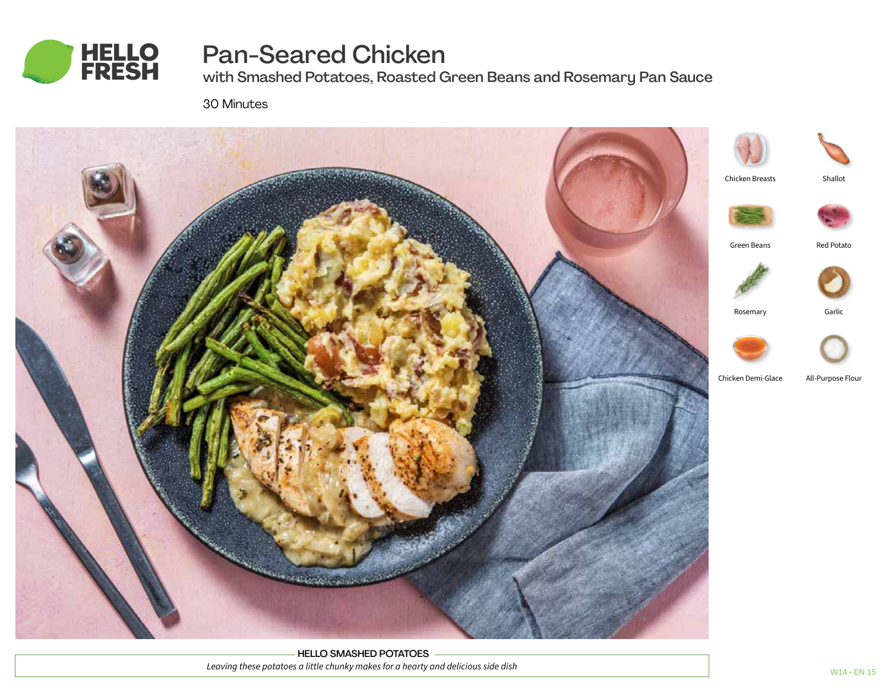

# Pan-Seared Chicken

with Smashed Potatoes, Roasted Green Beans and Rosemary Pan Sauce

30 Minutes